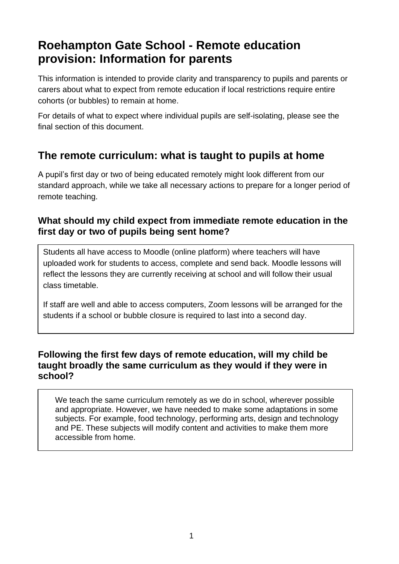# **Roehampton Gate School - Remote education provision: Information for parents**

This information is intended to provide clarity and transparency to pupils and parents or carers about what to expect from remote education if local restrictions require entire cohorts (or bubbles) to remain at home.

For details of what to expect where individual pupils are self-isolating, please see the final section of this document.

# **The remote curriculum: what is taught to pupils at home**

A pupil's first day or two of being educated remotely might look different from our standard approach, while we take all necessary actions to prepare for a longer period of remote teaching.

## **What should my child expect from immediate remote education in the first day or two of pupils being sent home?**

Students all have access to Moodle (online platform) where teachers will have uploaded work for students to access, complete and send back. Moodle lessons will reflect the lessons they are currently receiving at school and will follow their usual class timetable.

If staff are well and able to access computers, Zoom lessons will be arranged for the students if a school or bubble closure is required to last into a second day.

### **Following the first few days of remote education, will my child be taught broadly the same curriculum as they would if they were in school?**

We teach the same curriculum remotely as we do in school, wherever possible and appropriate. However, we have needed to make some adaptations in some subjects. For example, food technology, performing arts, design and technology and PE. These subjects will modify content and activities to make them more accessible from home.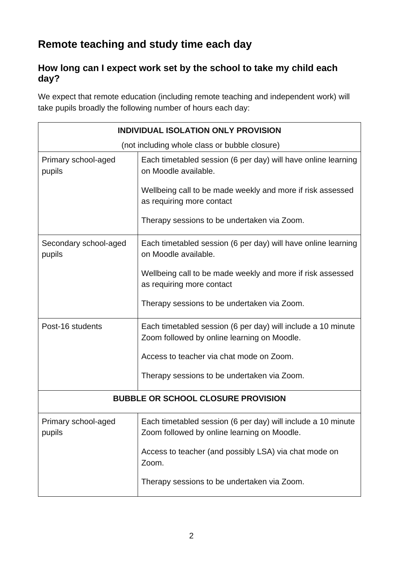# **Remote teaching and study time each day**

## **How long can I expect work set by the school to take my child each day?**

We expect that remote education (including remote teaching and independent work) will take pupils broadly the following number of hours each day:

| <b>INDIVIDUAL ISOLATION ONLY PROVISION</b>    |                                                                                                             |  |
|-----------------------------------------------|-------------------------------------------------------------------------------------------------------------|--|
| (not including whole class or bubble closure) |                                                                                                             |  |
| Primary school-aged<br>pupils                 | Each timetabled session (6 per day) will have online learning<br>on Moodle available.                       |  |
|                                               | Wellbeing call to be made weekly and more if risk assessed<br>as requiring more contact                     |  |
|                                               | Therapy sessions to be undertaken via Zoom.                                                                 |  |
| Secondary school-aged<br>pupils               | Each timetabled session (6 per day) will have online learning<br>on Moodle available.                       |  |
|                                               | Wellbeing call to be made weekly and more if risk assessed<br>as requiring more contact                     |  |
|                                               | Therapy sessions to be undertaken via Zoom.                                                                 |  |
| Post-16 students                              | Each timetabled session (6 per day) will include a 10 minute<br>Zoom followed by online learning on Moodle. |  |
|                                               | Access to teacher via chat mode on Zoom.                                                                    |  |
|                                               | Therapy sessions to be undertaken via Zoom.                                                                 |  |
| <b>BUBBLE OR SCHOOL CLOSURE PROVISION</b>     |                                                                                                             |  |
| Primary school-aged<br>pupils                 | Each timetabled session (6 per day) will include a 10 minute<br>Zoom followed by online learning on Moodle. |  |
|                                               | Access to teacher (and possibly LSA) via chat mode on<br>Zoom.                                              |  |
|                                               | Therapy sessions to be undertaken via Zoom.                                                                 |  |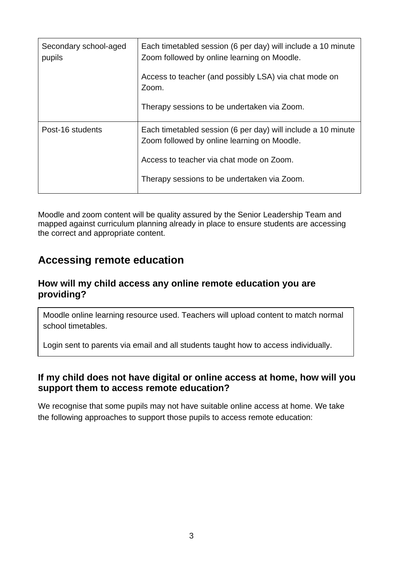| Secondary school-aged<br>pupils | Each timetabled session (6 per day) will include a 10 minute<br>Zoom followed by online learning on Moodle. |
|---------------------------------|-------------------------------------------------------------------------------------------------------------|
|                                 | Access to teacher (and possibly LSA) via chat mode on<br>Zoom.                                              |
|                                 | Therapy sessions to be undertaken via Zoom.                                                                 |
| Post-16 students                | Each timetabled session (6 per day) will include a 10 minute<br>Zoom followed by online learning on Moodle. |
|                                 | Access to teacher via chat mode on Zoom.                                                                    |
|                                 | Therapy sessions to be undertaken via Zoom.                                                                 |

Moodle and zoom content will be quality assured by the Senior Leadership Team and mapped against curriculum planning already in place to ensure students are accessing the correct and appropriate content.

## **Accessing remote education**

#### **How will my child access any online remote education you are providing?**

Moodle online learning resource used. Teachers will upload content to match normal school timetables.

Login sent to parents via email and all students taught how to access individually.

#### **If my child does not have digital or online access at home, how will you support them to access remote education?**

We recognise that some pupils may not have suitable online access at home. We take the following approaches to support those pupils to access remote education: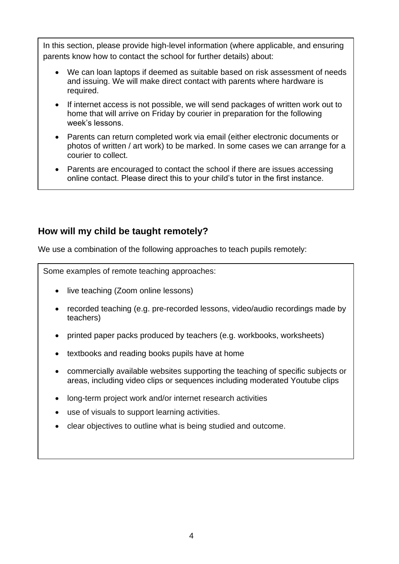In this section, please provide high-level information (where applicable, and ensuring parents know how to contact the school for further details) about:

- We can loan laptops if deemed as suitable based on risk assessment of needs and issuing. We will make direct contact with parents where hardware is required.
- If internet access is not possible, we will send packages of written work out to home that will arrive on Friday by courier in preparation for the following week's lessons.
- Parents can return completed work via email (either electronic documents or photos of written / art work) to be marked. In some cases we can arrange for a courier to collect.
- Parents are encouraged to contact the school if there are issues accessing online contact. Please direct this to your child's tutor in the first instance.

## **How will my child be taught remotely?**

We use a combination of the following approaches to teach pupils remotely:

Some examples of remote teaching approaches:

- live teaching (Zoom online lessons)
- recorded teaching (e.g. pre-recorded lessons, video/audio recordings made by teachers)
- printed paper packs produced by teachers (e.g. workbooks, worksheets)
- textbooks and reading books pupils have at home
- commercially available websites supporting the teaching of specific subjects or areas, including video clips or sequences including moderated Youtube clips
- long-term project work and/or internet research activities
- use of visuals to support learning activities.
- clear objectives to outline what is being studied and outcome.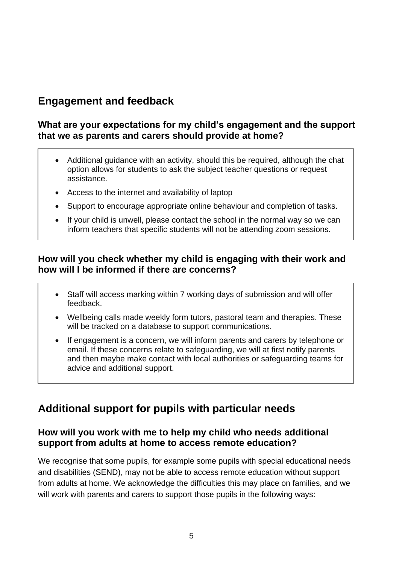# **Engagement and feedback**

#### **What are your expectations for my child's engagement and the support that we as parents and carers should provide at home?**

- Additional guidance with an activity, should this be required, although the chat option allows for students to ask the subject teacher questions or request assistance.
- Access to the internet and availability of laptop
- Support to encourage appropriate online behaviour and completion of tasks.
- If your child is unwell, please contact the school in the normal way so we can inform teachers that specific students will not be attending zoom sessions.

### **How will you check whether my child is engaging with their work and how will I be informed if there are concerns?**

- Staff will access marking within 7 working days of submission and will offer feedback.
- Wellbeing calls made weekly form tutors, pastoral team and therapies. These will be tracked on a database to support communications.
- If engagement is a concern, we will inform parents and carers by telephone or email. If these concerns relate to safeguarding, we will at first notify parents and then maybe make contact with local authorities or safeguarding teams for advice and additional support.

# **Additional support for pupils with particular needs**

## **How will you work with me to help my child who needs additional support from adults at home to access remote education?**

We recognise that some pupils, for example some pupils with special educational needs and disabilities (SEND), may not be able to access remote education without support from adults at home. We acknowledge the difficulties this may place on families, and we will work with parents and carers to support those pupils in the following ways: